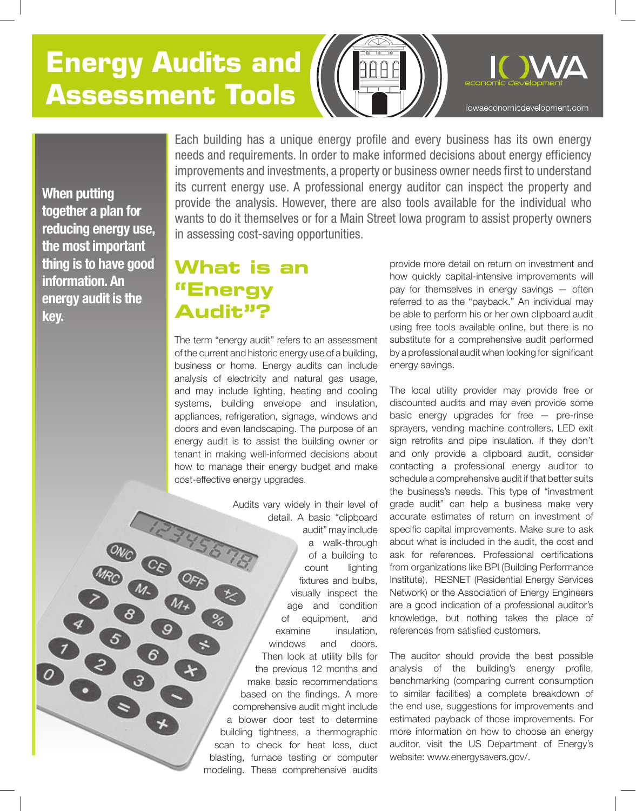# **Energy Audits and Assessment Tools**



**When putting together a plan for reducing energy use, the most important thing is to have good information. An energy audit is the key.**

**OCOOL** 

Each building has a unique energy profile and every business has its own energy needs and requirements. In order to make informed decisions about energy efficiency improvements and investments, a property or business owner needs first to understand its current energy use. A professional energy auditor can inspect the property and provide the analysis. However, there are also tools available for the individual who wants to do it themselves or for a Main Street Iowa program to assist property owners in assessing cost-saving opportunities.

### **What is an "Energy Audit"?**

The term "energy audit" refers to an assessment of the current and historic energy use of a building, business or home. Energy audits can include analysis of electricity and natural gas usage, and may include lighting, heating and cooling systems, building envelope and insulation, appliances, refrigeration, signage, windows and doors and even landscaping. The purpose of an energy audit is to assist the building owner or tenant in making well-informed decisions about how to manage their energy budget and make cost-effective energy upgrades.

Audits vary widely in their level of detail. A basic "clipboard audit" may include a walk-through **BOOK** of a building to count lighting fixtures and bulbs, visually inspect the age and condition of equipment, and examine insulation, windows and doors. Then look at utility bills for the previous 12 months and make basic recommendations based on the findings. A more comprehensive audit might include a blower door test to determine building tightness, a thermographic scan to check for heat loss, duct blasting, furnace testing or computer modeling. These comprehensive audits

provide more detail on return on investment and how quickly capital-intensive improvements will pay for themselves in energy savings — often referred to as the "payback." An individual may be able to perform his or her own clipboard audit using free tools available online, but there is no substitute for a comprehensive audit performed by a professional audit when looking for significant energy savings.

The local utility provider may provide free or discounted audits and may even provide some basic energy upgrades for free — pre-rinse sprayers, vending machine controllers, LED exit sign retrofits and pipe insulation. If they don't and only provide a clipboard audit, consider contacting a professional energy auditor to schedule a comprehensive audit if that better suits the business's needs. This type of "investment grade audit" can help a business make very accurate estimates of return on investment of specific capital improvements. Make sure to ask about what is included in the audit, the cost and ask for references. Professional certifications from organizations like BPI (Building Performance Institute), RESNET (Residential Energy Services Network) or the Association of Energy Engineers are a good indication of a professional auditor's knowledge, but nothing takes the place of references from satisfied customers.

The auditor should provide the best possible analysis of the building's energy profile, benchmarking (comparing current consumption to similar facilities) a complete breakdown of the end use, suggestions for improvements and estimated payback of those improvements. For more information on how to choose an energy auditor, visit the US Department of Energy's website: www.energysavers.gov/.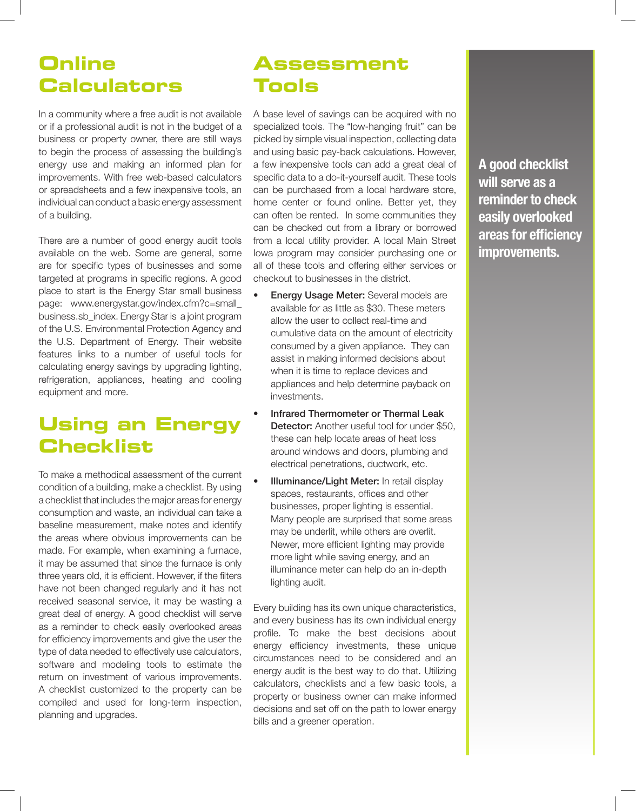### **Online Calculators**

In a community where a free audit is not available or if a professional audit is not in the budget of a business or property owner, there are still ways to begin the process of assessing the building's energy use and making an informed plan for improvements. With free web-based calculators or spreadsheets and a few inexpensive tools, an individual can conduct a basic energy assessment of a building.

There are a number of good energy audit tools available on the web. Some are general, some are for specific types of businesses and some targeted at programs in specific regions. A good place to start is the Energy Star small business page: www.energystar.gov/index.cfm?c=small\_ business.sb\_index. Energy Star is a joint program of the U.S. Environmental Protection Agency and the U.S. Department of Energy. Their website features links to a number of useful tools for calculating energy savings by upgrading lighting, refrigeration, appliances, heating and cooling equipment and more.

### **Using an Energy Checklist**

To make a methodical assessment of the current condition of a building, make a checklist. By using a checklist that includes the major areas for energy consumption and waste, an individual can take a baseline measurement, make notes and identify the areas where obvious improvements can be made. For example, when examining a furnace, it may be assumed that since the furnace is only three years old, it is efficient. However, if the filters have not been changed regularly and it has not received seasonal service, it may be wasting a great deal of energy. A good checklist will serve as a reminder to check easily overlooked areas for efficiency improvements and give the user the type of data needed to effectively use calculators, software and modeling tools to estimate the return on investment of various improvements. A checklist customized to the property can be compiled and used for long-term inspection, planning and upgrades.

## **Assessment Tools**

A base level of savings can be acquired with no specialized tools. The "low-hanging fruit" can be picked by simple visual inspection, collecting data and using basic pay-back calculations. However, a few inexpensive tools can add a great deal of specific data to a do-it-yourself audit. These tools can be purchased from a local hardware store, home center or found online. Better yet, they can often be rented. In some communities they can be checked out from a library or borrowed from a local utility provider. A local Main Street Iowa program may consider purchasing one or all of these tools and offering either services or checkout to businesses in the district.

- **Energy Usage Meter:** Several models are available for as little as \$30. These meters allow the user to collect real-time and cumulative data on the amount of electricity consumed by a given appliance. They can assist in making informed decisions about when it is time to replace devices and appliances and help determine payback on investments.
- Infrared Thermometer or Thermal Leak Detector: Another useful tool for under \$50. these can help locate areas of heat loss around windows and doors, plumbing and electrical penetrations, ductwork, etc.
- **Illuminance/Light Meter:** In retail display spaces, restaurants, offices and other businesses, proper lighting is essential. Many people are surprised that some areas may be underlit, while others are overlit. Newer, more efficient lighting may provide more light while saving energy, and an illuminance meter can help do an in-depth lighting audit.

Every building has its own unique characteristics, and every business has its own individual energy profile. To make the best decisions about energy efficiency investments, these unique circumstances need to be considered and an energy audit is the best way to do that. Utilizing calculators, checklists and a few basic tools, a property or business owner can make informed decisions and set off on the path to lower energy bills and a greener operation.

**A good checklist will serve as a reminder to check easily overlooked areas for efficiency improvements.**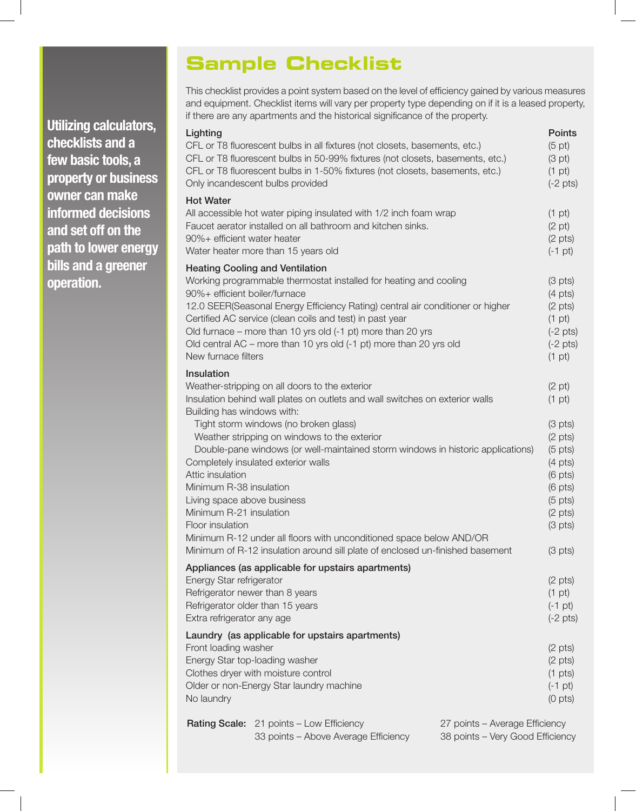**Utilizing calculators, checklists and a few basic tools, a property or business owner can make informed decisions and set off on the path to lower energy bills and a greener operation.**

### **Sample Checklist**

This checklist provides a point system based on the level of efficiency gained by various measures and equipment. Checklist items will vary per property type depending on if it is a leased property, if there are any apartments and the historical significance of the property.

| Lighting                                                                                                                                                                                                                   | CFL or T8 fluorescent bulbs in all fixtures (not closets, basements, etc.)<br>CFL or T8 fluorescent bulbs in 50-99% fixtures (not closets, basements, etc.)<br>CFL or T8 fluorescent bulbs in 1-50% fixtures (not closets, basements, etc.)<br>Only incandescent bulbs provided                                                                                                                                                                                                                           |                                                                        | <b>Points</b><br>$(5 \text{ pt})$<br>(3 pt)<br>$(1 \text{ pt})$<br>$(-2 \text{ pts})$                                                                                                                                                          |
|----------------------------------------------------------------------------------------------------------------------------------------------------------------------------------------------------------------------------|-----------------------------------------------------------------------------------------------------------------------------------------------------------------------------------------------------------------------------------------------------------------------------------------------------------------------------------------------------------------------------------------------------------------------------------------------------------------------------------------------------------|------------------------------------------------------------------------|------------------------------------------------------------------------------------------------------------------------------------------------------------------------------------------------------------------------------------------------|
| <b>Hot Water</b><br>All accessible hot water piping insulated with 1/2 inch foam wrap<br>Faucet aerator installed on all bathroom and kitchen sinks.<br>90%+ efficient water heater<br>Water heater more than 15 years old |                                                                                                                                                                                                                                                                                                                                                                                                                                                                                                           | $(1 \text{ pt})$<br>$(2 \text{ pt})$<br>$(2 \text{ pts})$<br>$(-1$ pt) |                                                                                                                                                                                                                                                |
| 90%+ efficient boiler/furnace<br>New furnace filters                                                                                                                                                                       | <b>Heating Cooling and Ventilation</b><br>Working programmable thermostat installed for heating and cooling<br>12.0 SEER(Seasonal Energy Efficiency Rating) central air conditioner or higher<br>Certified AC service (clean coils and test) in past year<br>Old furnace – more than 10 yrs old (-1 pt) more than 20 yrs<br>Old central AC - more than 10 yrs old (-1 pt) more than 20 yrs old                                                                                                            |                                                                        | $(3 \text{ pts})$<br>$(4 \text{ pts})$<br>$(2 \text{ pts})$<br>$(1 \text{ pt})$<br>$(-2 \text{ pts})$<br>$(-2 \text{ pts})$<br>$(1$ pt)                                                                                                        |
| Insulation<br>Building has windows with:<br>Attic insulation<br>Minimum R-38 insulation<br>Living space above business<br>Minimum R-21 insulation<br>Floor insulation                                                      | Weather-stripping on all doors to the exterior<br>Insulation behind wall plates on outlets and wall switches on exterior walls<br>Tight storm windows (no broken glass)<br>Weather stripping on windows to the exterior<br>Double-pane windows (or well-maintained storm windows in historic applications)<br>Completely insulated exterior walls<br>Minimum R-12 under all floors with unconditioned space below AND/OR<br>Minimum of R-12 insulation around sill plate of enclosed un-finished basement |                                                                        | $(2 \text{ pt})$<br>$(1$ pt)<br>$(3 \text{ pts})$<br>$(2 \text{ pts})$<br>$(5 \text{ pts})$<br>$(4 \text{ pts})$<br>$(6 \text{ pts})$<br>$(6 \text{ pts})$<br>$(5 \text{ pts})$<br>$(2 \text{ pts})$<br>$(3 \text{ pts})$<br>$(3 \text{ pts})$ |
| Appliances (as applicable for upstairs apartments)<br>Energy Star refrigerator<br>Refrigerator newer than 8 years<br>Refrigerator older than 15 years<br>Extra refrigerator any age                                        |                                                                                                                                                                                                                                                                                                                                                                                                                                                                                                           |                                                                        | $(2 \text{ pts})$<br>$(1$ pt $)$<br>$(-1 pt)$<br>$(-2 \text{ pts})$                                                                                                                                                                            |
| Front loading washer<br>No laundry                                                                                                                                                                                         | Laundry (as applicable for upstairs apartments)<br>Energy Star top-loading washer<br>Clothes dryer with moisture control<br>Older or non-Energy Star laundry machine                                                                                                                                                                                                                                                                                                                                      |                                                                        | $(2 \text{ pts})$<br>$(2 \text{ pts})$<br>$(1 \text{ pts})$<br>$(-1$ pt)<br>$(0 \text{ pts})$                                                                                                                                                  |
|                                                                                                                                                                                                                            | Rating Scale: 21 points - Low Efficiency<br>33 points - Above Average Efficiency                                                                                                                                                                                                                                                                                                                                                                                                                          | 27 points - Average Efficiency<br>38 points - Very Good Efficiency     |                                                                                                                                                                                                                                                |